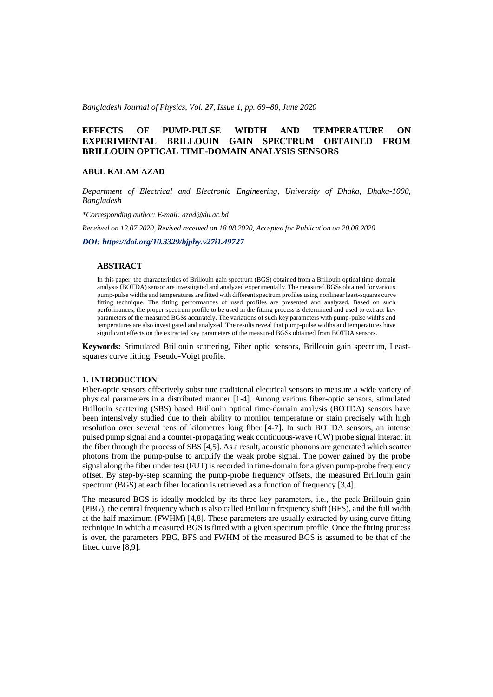*Bangladesh Journal of Physics, Vol. 27, Issue 1, pp. 69*−*80, June 2020*

# **EFFECTS OF PUMP-PULSE WIDTH AND TEMPERATURE ON EXPERIMENTAL BRILLOUIN GAIN SPECTRUM OBTAINED FROM BRILLOUIN OPTICAL TIME-DOMAIN ANALYSIS SENSORS**

### **ABUL KALAM AZAD**

*Department of Electrical and Electronic Engineering, University of Dhaka, Dhaka-1000, Bangladesh*

*\*Corresponding author: E-mail: azad@du.ac.bd*

*Received on 12.07.2020, Revised received on 18.08.2020, Accepted for Publication on 20.08.2020*

*DOI: https://doi.org/10.3329/bjphy.v27i1.49727*

## **ABSTRACT**

In this paper, the characteristics of Brillouin gain spectrum (BGS) obtained from a Brillouin optical time-domain analysis (BOTDA) sensor are investigated and analyzed experimentally. The measured BGSs obtained for various pump-pulse widths and temperatures are fitted with different spectrum profiles using nonlinear least-squares curve fitting technique. The fitting performances of used profiles are presented and analyzed. Based on such performances, the proper spectrum profile to be used in the fitting process is determined and used to extract key parameters of the measured BGSs accurately. The variations of such key parameters with pump-pulse widths and temperatures are also investigated and analyzed. The results reveal that pump-pulse widths and temperatures have significant effects on the extracted key parameters of the measured BGSs obtained from BOTDA sensors.

**Keywords:** Stimulated Brillouin scattering, Fiber optic sensors, Brillouin gain spectrum, Leastsquares curve fitting, Pseudo-Voigt profile.

## **1. INTRODUCTION**

Fiber-optic sensors effectively substitute traditional electrical sensors to measure a wide variety of physical parameters in a distributed manner [1-4]. Among various fiber-optic sensors, stimulated Brillouin scattering (SBS) based Brillouin optical time-domain analysis (BOTDA) sensors have been intensively studied due to their ability to monitor temperature or stain precisely with high resolution over several tens of kilometres long fiber [4-7]. In such BOTDA sensors, an intense pulsed pump signal and a counter-propagating weak continuous-wave (CW) probe signal interact in the fiber through the process of SBS [4,5]. As a result, acoustic phonons are generated which scatter photons from the pump-pulse to amplify the weak probe signal. The power gained by the probe signal along the fiber under test (FUT) is recorded in time-domain for a given pump-probe frequency offset. By step-by-step scanning the pump-probe frequency offsets, the measured Brillouin gain spectrum (BGS) at each fiber location is retrieved as a function of frequency [3,4].

The measured BGS is ideally modeled by its three key parameters, i.e., the peak Brillouin gain (PBG), the central frequency which is also called Brillouin frequency shift (BFS), and the full width at the half-maximum (FWHM) [4,8]. These parameters are usually extracted by using curve fitting technique in which a measured BGS is fitted with a given spectrum profile. Once the fitting process is over, the parameters PBG, BFS and FWHM of the measured BGS is assumed to be that of the fitted curve [8,9].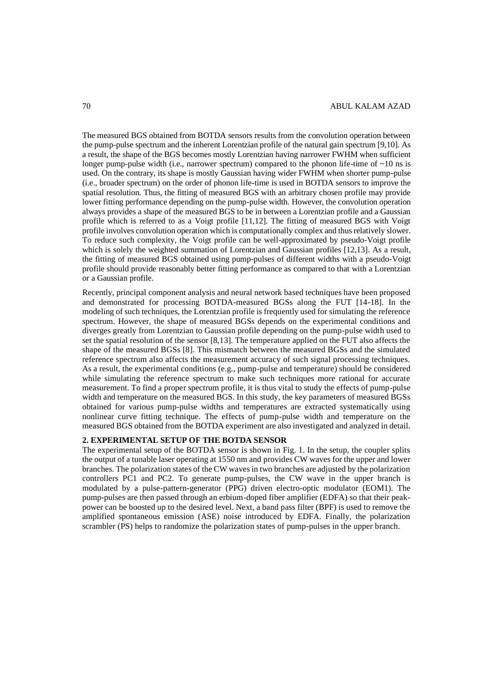The measured BGS obtained from BOTDA sensors results from the convolution operation between the pump-pulse spectrum and the inherent Lorentzian profile of the natural gain spectrum [9,10]. As a result, the shape of the BGS becomes mostly Lorentzian having narrower FWHM when sufficient longer pump-pulse width (i.e., narrower spectrum) compared to the phonon life-time of  $\sim 10$  ns is used. On the contrary, its shape is mostly Gaussian having wider FWHM when shorter pump-pulse (i.e., broader spectrum) on the order of phonon life-time is used in BOTDA sensors to improve the spatial resolution. Thus, the fitting of measured BGS with an arbitrary chosen profile may provide lower fitting performance depending on the pump-pulse width. However, the convolution operation always provides a shape of the measured BGS to be in between a Lorentzian profile and a Gaussian profile which is referred to as a Voigt profile [11,12]. The fitting of measured BGS with Voigt profile involves convolution operation which is computationally complex and thus relatively slower. To reduce such complexity, the Voigt profile can be well-approximated by pseudo-Voigt profile which is solely the weighted summation of Lorentzian and Gaussian profiles [12,13]. As a result, the fitting of measured BGS obtained using pump-pulses of different widths with a pseudo-Voigt profile should provide reasonably better fitting performance as compared to that with a Lorentzian or a Gaussian profile.

Recently, principal component analysis and neural network based techniques have been proposed and demonstrated for processing BOTDA-measured BGSs along the FUT [14-18]. In the modeling of such techniques, the Lorentzian profile is frequently used for simulating the reference spectrum. However, the shape of measured BGSs depends on the experimental conditions and diverges greatly from Lorentzian to Gaussian profile depending on the pump-pulse width used to set the spatial resolution of the sensor [8,13]. The temperature applied on the FUT also affects the shape of the measured BGSs [8]. This mismatch between the measured BGSs and the simulated reference spectrum also affects the measurement accuracy of such signal processing techniques. As a result, the experimental conditions (e.g., pump-pulse and temperature) should be considered while simulating the reference spectrum to make such techniques more rational for accurate measurement. To find a proper spectrum profile, it is thus vital to study the effects of pump-pulse width and temperature on the measured BGS. In this study, the key parameters of measured BGSs obtained for various pump-pulse widths and temperatures are extracted systematically using nonlinear curve fitting technique. The effects of pump-pulse width and temperature on the measured BGS obtained from the BOTDA experiment are also investigated and analyzed in detail.

## **2. EXPERIMENTAL SETUP OF THE BOTDA SENSOR**

The experimental setup of the BOTDA sensor is shown in Fig. 1. In the setup, the coupler splits the output of a tunable laser operating at 1550 nm and provides CW waves for the upper and lower branches. The polarization states of the CW waves in two branches are adjusted by the polarization controllers PC1 and PC2. To generate pump-pulses, the CW wave in the upper branch is modulated by a pulse-pattern-generator (PPG) driven electro-optic modulator (EOM1). The pump-pulses are then passed through an erbium-doped fiber amplifier (EDFA) so that their peakpower can be boosted up to the desired level. Next, a band pass filter (BPF) is used to remove the amplified spontaneous emission (ASE) noise introduced by EDFA. Finally, the polarization scrambler (PS) helps to randomize the polarization states of pump-pulses in the upper branch.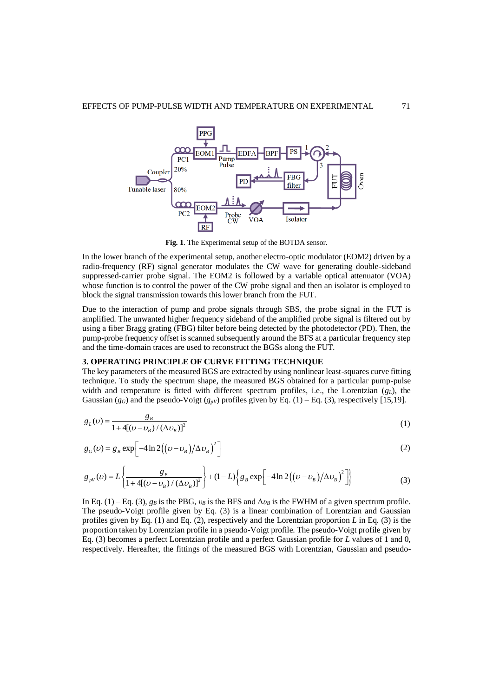

**Fig. 1**. The Experimental setup of the BOTDA sensor.

In the lower branch of the experimental setup, another electro-optic modulator (EOM2) driven by a radio-frequency (RF) signal generator modulates the CW wave for generating double-sideband suppressed-carrier probe signal. The EOM2 is followed by a variable optical attenuator (VOA) whose function is to control the power of the CW probe signal and then an isolator is employed to block the signal transmission towards this lower branch from the FUT.

Due to the interaction of pump and probe signals through SBS, the probe signal in the FUT is amplified. The unwanted higher frequency sideband of the amplified probe signal is filtered out by using a fiber Bragg grating (FBG) filter before being detected by the photodetector (PD). Then, the pump-probe frequency offset is scanned subsequently around the BFS at a particular frequency step and the time-domain traces are used to reconstruct the BGSs along the FUT.

#### **3. OPERATING PRINCIPLE OF CURVE FITTING TECHNIQUE**

The key parameters of the measured BGS are extracted by using nonlinear least-squares curve fitting technique. To study the spectrum shape, the measured BGS obtained for a particular pump-pulse width and temperature is fitted with different spectrum profiles, i.e., the Lorentzian  $(g_L)$ , the Gaussian ( $g_G$ ) and the pseudo-Voigt ( $g_{pV}$ ) profiles given by Eq. (1) – Eq. (3), respectively [15,19].

$$
g_L(\nu) = \frac{g_B}{1 + 4[(\nu - \nu_B)/(\Delta \nu_B)]^2}
$$
 (1)

$$
g_G(v) = g_B \exp\left[-4\ln 2((v - v_B)/\Delta v_B)^2\right]
$$
\n
$$
g_{av}(v) = L\left\{\frac{g_B}{\Delta v} + (1 - L)\left\{g_B \exp\left[-4\ln 2((v - v_B)/\Delta v_B)^2\right]\right\}\right\}
$$
\n(2)

$$
g_G(v) = g_B \exp\left[-4\ln 2((v - v_B)/\Delta v_B)\right]
$$
\n
$$
g_{pV}(v) = L\left\{\frac{g_B}{1 + 4[(v - v_B)/(\Delta v_B)]^2}\right\} + (1 - L)\left\{g_B \exp\left[-4\ln 2((v - v_B)/\Delta v_B)^2\right]\right\}
$$
\n(3)

In Eq. (1) – Eq. (3),  $g_B$  is the PBG,  $v_B$  is the BFS and  $\Delta v_B$  is the FWHM of a given spectrum profile. The pseudo-Voigt profile given by Eq. (3) is a linear combination of Lorentzian and Gaussian profiles given by Eq. (1) and Eq. (2), respectively and the Lorentzian proportion *L* in Eq. (3) is the proportion taken by Lorentzian profile in a pseudo-Voigt profile. The pseudo-Voigt profile given by Eq. (3) becomes a perfect Lorentzian profile and a perfect Gaussian profile for *L* values of 1 and 0, respectively. Hereafter, the fittings of the measured BGS with Lorentzian, Gaussian and pseudo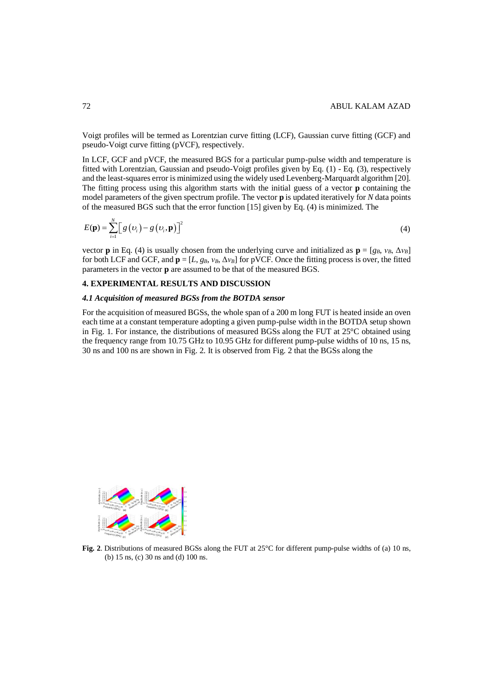Voigt profiles will be termed as Lorentzian curve fitting (LCF), Gaussian curve fitting (GCF) and pseudo-Voigt curve fitting (pVCF), respectively.

In LCF, GCF and pVCF, the measured BGS for a particular pump-pulse width and temperature is fitted with Lorentzian, Gaussian and pseudo-Voigt profiles given by Eq. (1) - Eq. (3), respectively and the least-squares error is minimized using the widely used Levenberg-Marquardt algorithm [20]. The fitting process using this algorithm starts with the initial guess of a vector **p** containing the model parameters of the given spectrum profile. The vector **p** is updated iteratively for *N* data points of the measured BGS such that the error function [15] given by Eq. (4) is minimized. The

$$
E(\mathbf{p}) = \sum_{i=1}^{N} \left[ g\left(\nu_{i}\right) - g\left(\nu_{i}, \mathbf{p}\right) \right]^{2} \tag{4}
$$

vector **p** in Eq. (4) is usually chosen from the underlying curve and initialized as  $\mathbf{p} = [g_B, v_B, \Delta v_B]$ for both LCF and GCF, and  $\mathbf{p} = [L, g_B, v_B, \Delta v_B]$  for pVCF. Once the fitting process is over, the fitted parameters in the vector **p** are assumed to be that of the measured BGS.

## **4. EXPERIMENTAL RESULTS AND DISCUSSION**

## *4.1 Acquisition of measured BGSs from the BOTDA sensor*

For the acquisition of measured BGSs, the whole span of a 200 m long FUT is heated inside an oven each time at a constant temperature adopting a given pump-pulse width in the BOTDA setup shown in Fig. 1. For instance, the distributions of measured BGSs along the FUT at 25°C obtained using the frequency range from 10.75 GHz to 10.95 GHz for different pump-pulse widths of 10 ns, 15 ns, 30 ns and 100 ns are shown in Fig. 2. It is observed from Fig. 2 that the BGSs along the



**Fig. 2**. Distributions of measured BGSs along the FUT at 25<sup>o</sup>C for different pump-pulse widths of (a) 10 ns, (b) 15 ns, (c) 30 ns and (d) 100 ns.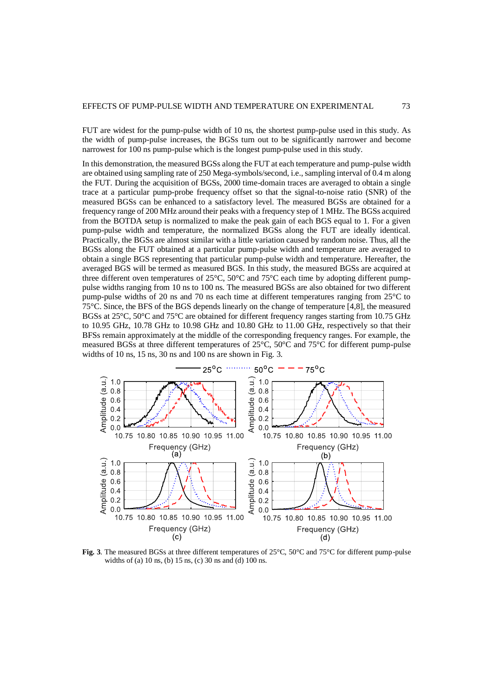FUT are widest for the pump-pulse width of 10 ns, the shortest pump-pulse used in this study. As the width of pump-pulse increases, the BGSs turn out to be significantly narrower and become narrowest for 100 ns pump-pulse which is the longest pump-pulse used in this study.

In this demonstration, the measured BGSs along the FUT at each temperature and pump-pulse width are obtained using sampling rate of 250 Mega-symbols/second, i.e., sampling interval of 0.4 m along the FUT. During the acquisition of BGSs, 2000 time-domain traces are averaged to obtain a single trace at a particular pump-probe frequency offset so that the signal-to-noise ratio (SNR) of the measured BGSs can be enhanced to a satisfactory level. The measured BGSs are obtained for a frequency range of 200 MHz around their peaks with a frequency step of 1 MHz. The BGSs acquired from the BOTDA setup is normalized to make the peak gain of each BGS equal to 1. For a given pump-pulse width and temperature, the normalized BGSs along the FUT are ideally identical. Practically, the BGSs are almost similar with a little variation caused by random noise. Thus, all the BGSs along the FUT obtained at a particular pump-pulse width and temperature are averaged to obtain a single BGS representing that particular pump-pulse width and temperature. Hereafter, the averaged BGS will be termed as measured BGS. In this study, the measured BGSs are acquired at three different oven temperatures of 25°C, 50°C and 75°C each time by adopting different pumppulse widths ranging from 10 ns to 100 ns. The measured BGSs are also obtained for two different pump-pulse widths of 20 ns and 70 ns each time at different temperatures ranging from 25°C to 75°C. Since, the BFS of the BGS depends linearly on the change of temperature [4,8], the measured BGSs at 25°C, 50°C and 75°C are obtained for different frequency ranges starting from 10.75 GHz to 10.95 GHz, 10.78 GHz to 10.98 GHz and 10.80 GHz to 11.00 GHz, respectively so that their BFSs remain approximately at the middle of the corresponding frequency ranges. For example, the measured BGSs at three different temperatures of 25°C, 50°C and 75°C for different pump-pulse widths of 10 ns, 15 ns, 30 ns and 100 ns are shown in Fig. 3.



**Fig. 3**. The measured BGSs at three different temperatures of 25°C, 50°C and 75°C for different pump-pulse widths of (a) 10 ns, (b) 15 ns, (c) 30 ns and (d) 100 ns.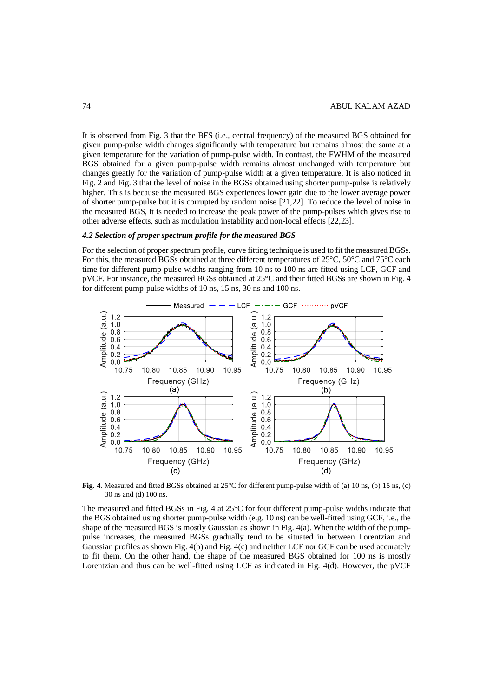It is observed from Fig. 3 that the BFS (i.e., central frequency) of the measured BGS obtained for given pump-pulse width changes significantly with temperature but remains almost the same at a given temperature for the variation of pump-pulse width. In contrast, the FWHM of the measured BGS obtained for a given pump-pulse width remains almost unchanged with temperature but changes greatly for the variation of pump-pulse width at a given temperature. It is also noticed in Fig. 2 and Fig. 3 that the level of noise in the BGSs obtained using shorter pump-pulse is relatively higher. This is because the measured BGS experiences lower gain due to the lower average power of shorter pump-pulse but it is corrupted by random noise [21,22]. To reduce the level of noise in the measured BGS, it is needed to increase the peak power of the pump-pulses which gives rise to other adverse effects, such as modulation instability and non-local effects [22,23].

## *4.2 Selection of proper spectrum profile for the measured BGS*

For the selection of proper spectrum profile, curve fitting technique is used to fit the measured BGSs. For this, the measured BGSs obtained at three different temperatures of 25°C, 50°C and 75°C each time for different pump-pulse widths ranging from 10 ns to 100 ns are fitted using LCF, GCF and pVCF. For instance, the measured BGSs obtained at 25°C and their fitted BGSs are shown in Fig. 4 for different pump-pulse widths of 10 ns, 15 ns, 30 ns and 100 ns.



**Fig. 4**. Measured and fitted BGSs obtained at 25°C for different pump-pulse width of (a) 10 ns, (b) 15 ns, (c) 30 ns and (d) 100 ns.

The measured and fitted BGSs in Fig. 4 at 25°C for four different pump-pulse widths indicate that the BGS obtained using shorter pump-pulse width (e.g. 10 ns) can be well-fitted using GCF, i.e., the shape of the measured BGS is mostly Gaussian as shown in Fig. 4(a). When the width of the pumppulse increases, the measured BGSs gradually tend to be situated in between Lorentzian and Gaussian profiles as shown Fig. 4(b) and Fig. 4(c) and neither LCF nor GCF can be used accurately to fit them. On the other hand, the shape of the measured BGS obtained for 100 ns is mostly Lorentzian and thus can be well-fitted using LCF as indicated in Fig. 4(d). However, the pVCF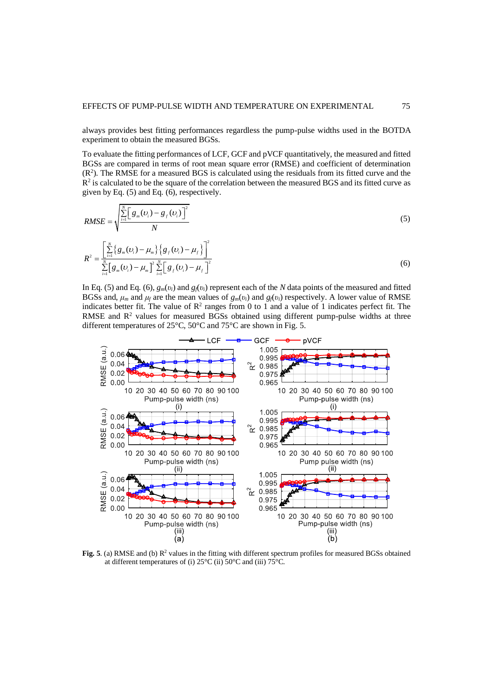always provides best fitting performances regardless the pump-pulse widths used in the BOTDA experiment to obtain the measured BGSs.

To evaluate the fitting performances of LCF, GCF and pVCF quantitatively, the measured and fitted BGSs are compared in terms of root mean square error (RMSE) and coefficient of determination (R<sup>2</sup> ). The RMSE for a measured BGS is calculated using the residuals from its fitted curve and the  $R<sup>2</sup>$  is calculated to be the square of the correlation between the measured BGS and its fitted curve as given by Eq. (5) and Eq. (6), respectively.

$$
RMSE = \sqrt{\frac{\sum_{i=1}^{N} \left[g_m(v_i) - g_f(v_i)\right]^2}{N}}
$$
\n
$$
R^2 = \frac{\left[\sum_{i=1}^{N} \left\{g_m(v_i) - \mu_m\right\} \left\{g_f(v_i) - \mu_f\right\}\right]^2}{\sum_{i=1}^{N} \left[g_m(v_i) - \mu_m\right]^2 \sum_{i=1}^{N} \left[g_f(v_i) - \mu_f\right]^2}
$$
\n(6)

In Eq. (5) and Eq. (6),  $g_m(v_i)$  and  $g_f(v_i)$  represent each of the *N* data points of the measured and fitted BGSs and,  $\mu_m$  and  $\mu_f$  are the mean values of  $g_m(v_i)$  and  $g_f(v_i)$  respectively. A lower value of RMSE indicates better fit. The value of  $\mathbb{R}^2$  ranges from 0 to 1 and a value of 1 indicates perfect fit. The RMSE and  $R<sup>2</sup>$  values for measured BGSs obtained using different pump-pulse widths at three different temperatures of 25°C, 50°C and 75°C are shown in Fig. 5.



**Fig. 5**. (a) RMSE and (b)  $R^2$  values in the fitting with different spectrum profiles for measured BGSs obtained at different temperatures of (i)  $25^{\circ}$ C (ii)  $50^{\circ}$ C and (iii)  $75^{\circ}$ C.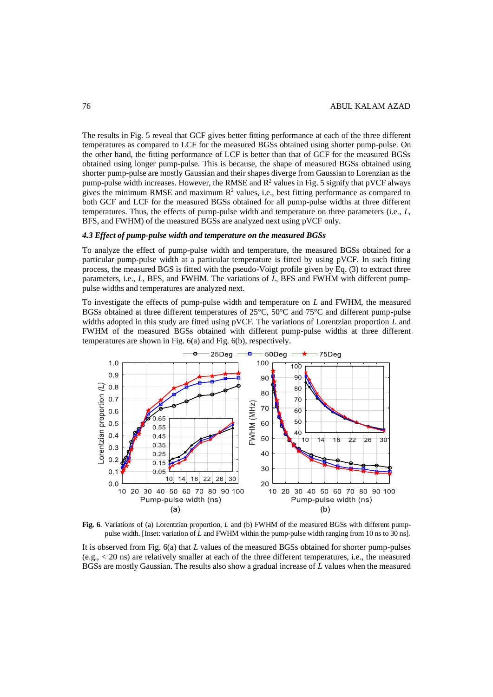The results in Fig. 5 reveal that GCF gives better fitting performance at each of the three different temperatures as compared to LCF for the measured BGSs obtained using shorter pump-pulse. On the other hand, the fitting performance of LCF is better than that of GCF for the measured BGSs obtained using longer pump-pulse. This is because, the shape of measured BGSs obtained using shorter pump-pulse are mostly Gaussian and their shapes diverge from Gaussian to Lorenzian as the pump-pulse width increases. However, the RMSE and  $R<sup>2</sup>$  values in Fig. 5 signify that pVCF always gives the minimum RMSE and maximum  $R^2$  values, i.e., best fitting performance as compared to both GCF and LCF for the measured BGSs obtained for all pump-pulse widths at three different temperatures. Thus, the effects of pump-pulse width and temperature on three parameters (i.e., *L*, BFS, and FWHM) of the measured BGSs are analyzed next using pVCF only.

## *4.3 Effect of pump-pulse width and temperature on the measured BGSs*

To analyze the effect of pump-pulse width and temperature, the measured BGSs obtained for a particular pump-pulse width at a particular temperature is fitted by using pVCF. In such fitting process, the measured BGS is fitted with the pseudo-Voigt profile given by Eq. (3) to extract three parameters, i.e., *L*, BFS, and FWHM. The variations of *L*, BFS and FWHM with different pumppulse widths and temperatures are analyzed next.

To investigate the effects of pump-pulse width and temperature on *L* and FWHM, the measured BGSs obtained at three different temperatures of 25°C, 50°C and 75°C and different pump-pulse widths adopted in this study are fitted using pVCF. The variations of Lorentzian proportion *L* and FWHM of the measured BGSs obtained with different pump-pulse widths at three different temperatures are shown in Fig. 6(a) and Fig. 6(b), respectively.



**Fig. 6**. Variations of (a) Lorentzian proportion, *L* and (b) FWHM of the measured BGSs with different pumppulse width. [Inset: variation of *L* and FWHM within the pump-pulse width ranging from 10 ns to 30 ns].

It is observed from Fig. 6(a) that *L* values of the measured BGSs obtained for shorter pump-pulses (e.g., < 20 ns) are relatively smaller at each of the three different temperatures, i.e., the measured BGSs are mostly Gaussian. The results also show a gradual increase of *L* values when the measured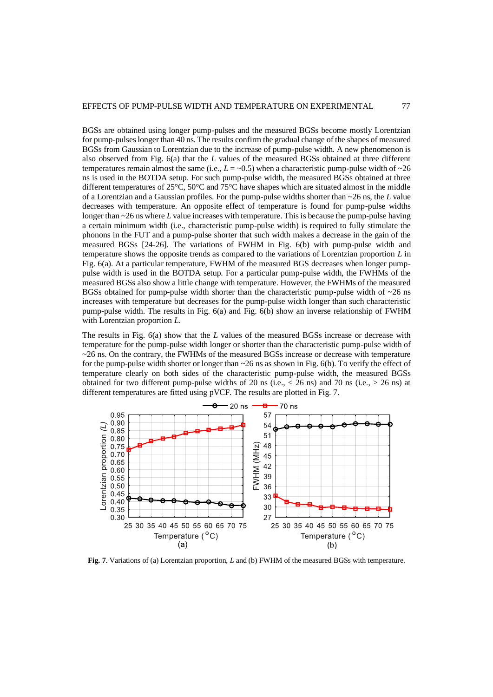BGSs are obtained using longer pump-pulses and the measured BGSs become mostly Lorentzian for pump-pulses longer than 40 ns. The results confirm the gradual change of the shapes of measured BGSs from Gaussian to Lorentzian due to the increase of pump-pulse width. A new phenomenon is also observed from Fig. 6(a) that the *L* values of the measured BGSs obtained at three different temperatures remain almost the same (i.e.,  $L = -0.5$ ) when a characteristic pump-pulse width of  $\sim$ 26 ns is used in the BOTDA setup. For such pump-pulse width, the measured BGSs obtained at three different temperatures of 25°C, 50°C and 75°C have shapes which are situated almost in the middle of a Lorentzian and a Gaussian profiles. For the pump-pulse widths shorter than ~26 ns, the *L* value decreases with temperature. An opposite effect of temperature is found for pump-pulse widths longer than ~26 ns where *L* value increases with temperature. This is because the pump-pulse having a certain minimum width (i.e., characteristic pump-pulse width) is required to fully stimulate the phonons in the FUT and a pump-pulse shorter that such width makes a decrease in the gain of the measured BGSs [24-26]. The variations of FWHM in Fig. 6(b) with pump-pulse width and temperature shows the opposite trends as compared to the variations of Lorentzian proportion *L* in Fig. 6(a). At a particular temperature, FWHM of the measured BGS decreases when longer pumppulse width is used in the BOTDA setup. For a particular pump-pulse width, the FWHMs of the measured BGSs also show a little change with temperature. However, the FWHMs of the measured BGSs obtained for pump-pulse width shorter than the characteristic pump-pulse width of  $\sim$ 26 ns increases with temperature but decreases for the pump-pulse width longer than such characteristic pump-pulse width. The results in Fig. 6(a) and Fig. 6(b) show an inverse relationship of FWHM with Lorentzian proportion *L*.

The results in Fig. 6(a) show that the *L* values of the measured BGSs increase or decrease with temperature for the pump-pulse width longer or shorter than the characteristic pump-pulse width of  $\sim$ 26 ns. On the contrary, the FWHMs of the measured BGSs increase or decrease with temperature for the pump-pulse width shorter or longer than ~26 ns as shown in Fig. 6(b). To verify the effect of temperature clearly on both sides of the characteristic pump-pulse width, the measured BGSs obtained for two different pump-pulse widths of 20 ns (i.e.,  $<$  26 ns) and 70 ns (i.e.,  $>$  26 ns) at different temperatures are fitted using pVCF. The results are plotted in Fig. 7.



**Fig. 7**. Variations of (a) Lorentzian proportion, *L* and (b) FWHM of the measured BGSs with temperature.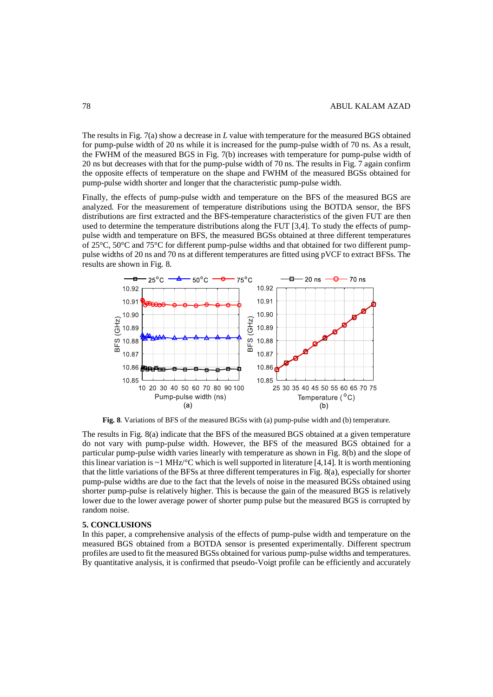The results in Fig. 7(a) show a decrease in *L* value with temperature for the measured BGS obtained for pump-pulse width of 20 ns while it is increased for the pump-pulse width of 70 ns. As a result, the FWHM of the measured BGS in Fig. 7(b) increases with temperature for pump-pulse width of 20 ns but decreases with that for the pump-pulse width of 70 ns. The results in Fig. 7 again confirm the opposite effects of temperature on the shape and FWHM of the measured BGSs obtained for pump-pulse width shorter and longer that the characteristic pump-pulse width.

Finally, the effects of pump-pulse width and temperature on the BFS of the measured BGS are analyzed. For the measurement of temperature distributions using the BOTDA sensor, the BFS distributions are first extracted and the BFS-temperature characteristics of the given FUT are then used to determine the temperature distributions along the FUT [3,4]. To study the effects of pumppulse width and temperature on BFS, the measured BGSs obtained at three different temperatures of 25°C, 50°C and 75°C for different pump-pulse widths and that obtained for two different pumppulse widths of 20 ns and 70 ns at different temperatures are fitted using pVCF to extract BFSs. The results are shown in Fig. 8.



**Fig. 8**. Variations of BFS of the measured BGSs with (a) pump-pulse width and (b) temperature.

The results in Fig. 8(a) indicate that the BFS of the measured BGS obtained at a given temperature do not vary with pump-pulse width. However, the BFS of the measured BGS obtained for a particular pump-pulse width varies linearly with temperature as shown in Fig. 8(b) and the slope of this linear variation is  $\sim$  1 MHz/ $\rm{^{\circ}C}$  which is well supported in literature [4,14]. It is worth mentioning that the little variations of the BFSs at three different temperatures in Fig. 8(a), especially for shorter pump-pulse widths are due to the fact that the levels of noise in the measured BGSs obtained using shorter pump-pulse is relatively higher. This is because the gain of the measured BGS is relatively lower due to the lower average power of shorter pump pulse but the measured BGS is corrupted by random noise.

#### **5. CONCLUSIONS**

In this paper, a comprehensive analysis of the effects of pump-pulse width and temperature on the measured BGS obtained from a BOTDA sensor is presented experimentally. Different spectrum profiles are used to fit the measured BGSs obtained for various pump-pulse widths and temperatures. By quantitative analysis, it is confirmed that pseudo-Voigt profile can be efficiently and accurately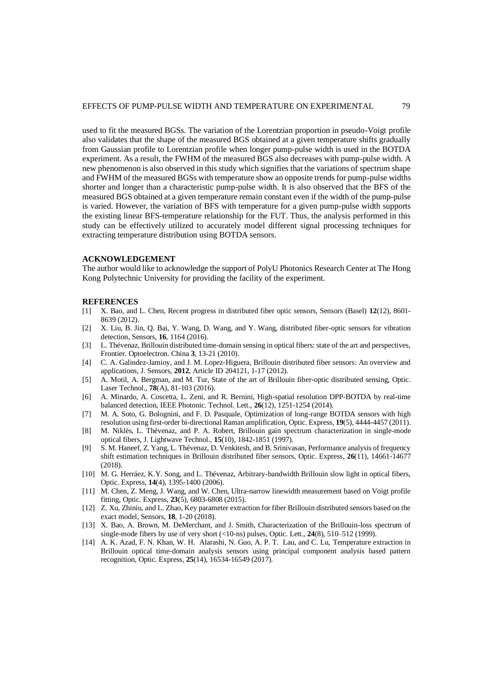used to fit the measured BGSs. The variation of the Lorentzian proportion in pseudo-Voigt profile also validates that the shape of the measured BGS obtained at a given temperature shifts gradually from Gaussian profile to Lorentzian profile when longer pump-pulse width is used in the BOTDA experiment. As a result, the FWHM of the measured BGS also decreases with pump-pulse width. A new phenomenon is also observed in this study which signifies that the variations of spectrum shape and FWHM of the measured BGSs with temperature show an opposite trends for pump-pulse widths shorter and longer than a characteristic pump-pulse width. It is also observed that the BFS of the measured BGS obtained at a given temperature remain constant even if the width of the pump-pulse is varied. However, the variation of BFS with temperature for a given pump-pulse width supports the existing linear BFS-temperature relationship for the FUT. Thus, the analysis performed in this study can be effectively utilized to accurately model different signal processing techniques for extracting temperature distribution using BOTDA sensors.

## **ACKNOWLEDGEMENT**

The author would like to acknowledge the support of PolyU Photonics Research Center at The Hong Kong Polytechnic University for providing the facility of the experiment.

#### **REFERENCES**

- [1] X. Bao, and L. Chen, Recent progress in distributed fiber optic sensors, Sensors (Basel) **12**(12), 8601- 8639 (2012).
- [2] X. Liu, B. Jin, Q. Bai, Y. Wang, D. Wang, and Y. Wang, distributed fiber-optic sensors for vibration detection, Sensors, **16**, 1164 (2016).
- [3] L. Thévenaz, Brillouin distributed time-domain sensing in optical fibers: state of the art and perspectives, Frontier. Optoelectron. China **3**, 13-21 (2010).
- [4] C. A. Galindez-Jamioy, and J. M. Lopez-Higuera, Brillouin distributed fiber sensors: An overview and applications, J. Sensors, **2012**, Article ID 204121, 1-17 (2012).
- [5] A. Motil, A. Bergman, and M. Tur, State of the art of Brillouin fiber-optic distributed sensing, Optic. Laser Technol., **78**(A), 81-103 (2016).
- [6] A. Minardo, A. Coscetta, L. Zeni, and R. Bernini, High-spatial resolution DPP-BOTDA by real-time balanced detection, IEEE Photonic. Technol. Lett., **26**(12), 1251-1254 (2014).
- [7] M. A. Soto, G. Bolognini, and F. D. Pasquale, Optimization of long-range BOTDA sensors with high resolution using first-order bi-directional Raman amplification, Optic. Express, **19**(5), 4444-4457 (2011).
- [8] M. Niklès, L. Thévenaz, and P. A. Robert, Brillouin gain spectrum characterization in single-mode optical fibers, J. Lightwave Technol., **15**(10), 1842-1851 (1997).
- [9] S. M. Haneef, Z. Yang, L. Thévenaz, D. Venkitesh, and B. Srinivasan, Performance analysis of frequency shift estimation techniques in Brillouin distributed fiber sensors, Optic. Express, **26**(11), 14661-14677 (2018).
- [10] M. G. Herráez, K.Y. Song, and L. Thévenaz, Arbitrary-bandwidth Brillouin slow light in optical fibers, Optic. Express, **14**(4), 1395-1400 (2006).
- [11] M. Chen, Z. Meng, J. Wang, and W. Chen, Ultra-narrow linewidth measurement based on Voigt profile fitting, Optic. Express, **23**(5), 6803-6808 (2015).
- [12] Z. Xu, Zhiniu, and L. Zhao, Key parameter extraction for fiber Brillouin distributed sensors based on the exact model, Sensors, **18**, 1-20 (2018).
- [13] X. Bao, A. Brown, M. DeMerchant, and J. Smith, Characterization of the Brillouin-loss spectrum of single-mode fibers by use of very short (<10-ns) pulses, Optic. Lett., **24**(8), 510–512 (1999).
- [14] A. K. Azad, F. N. Khan, W. H. Alarashi, N. Guo, A. P. T. Lau, and C. Lu, Temperature extraction in Brillouin optical time-domain analysis sensors using principal component analysis based pattern recognition, Optic. Express, **25**(14), 16534-16549 (2017).